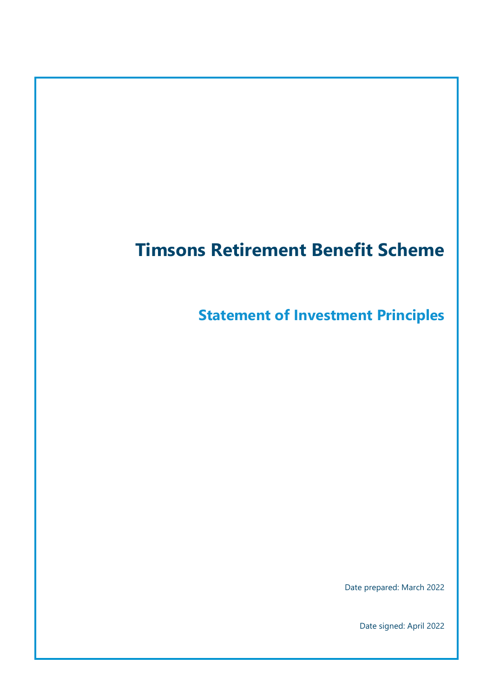# **Timsons Retirement Benefit Scheme**

**Statement of Investment Principles**

Date prepared: March 2022

Date signed: April 2022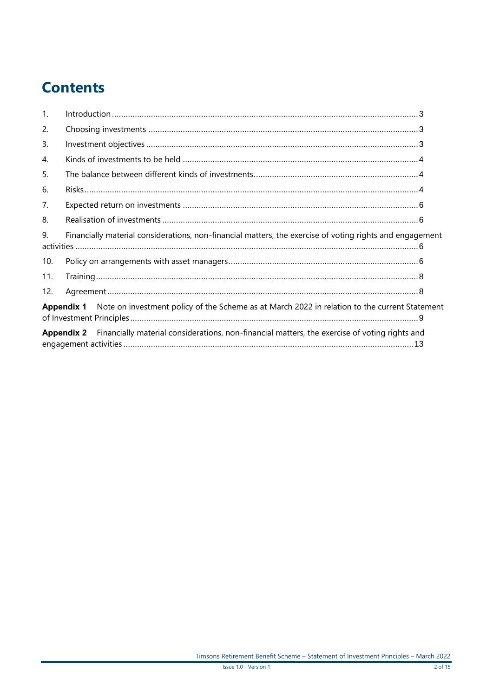# **Contents**

| $\mathbf{1}$ . |                                                                                                                 |  |  |  |
|----------------|-----------------------------------------------------------------------------------------------------------------|--|--|--|
| 2.             |                                                                                                                 |  |  |  |
| $\mathbf{3}$ . |                                                                                                                 |  |  |  |
| 4.             |                                                                                                                 |  |  |  |
| 5.             |                                                                                                                 |  |  |  |
| 6.             |                                                                                                                 |  |  |  |
| 7.             |                                                                                                                 |  |  |  |
| 8.             |                                                                                                                 |  |  |  |
| 9.             | Financially material considerations, non-financial matters, the exercise of voting rights and engagement        |  |  |  |
| 10.            |                                                                                                                 |  |  |  |
| 11.            |                                                                                                                 |  |  |  |
| 12.            |                                                                                                                 |  |  |  |
|                | Appendix 1 Note on investment policy of the Scheme as at March 2022 in relation to the current Statement        |  |  |  |
|                | <b>Appendix 2</b> Financially material considerations, non-financial matters, the exercise of voting rights and |  |  |  |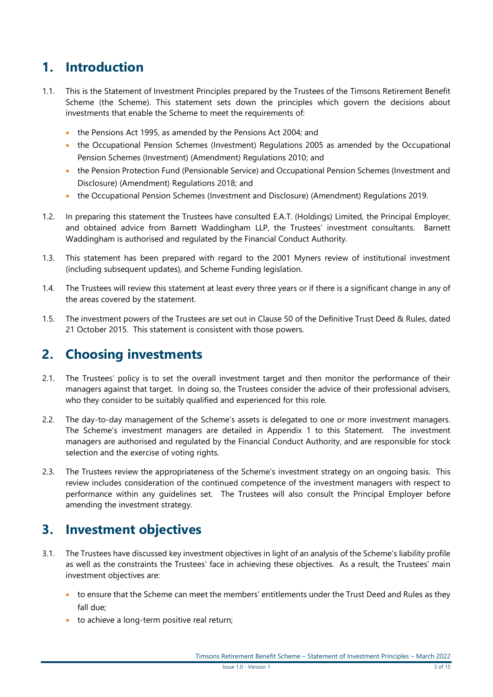### <span id="page-2-0"></span>**1. Introduction**

- 1.1. This is the Statement of Investment Principles prepared by the Trustees of the Timsons Retirement Benefit Scheme (the Scheme). This statement sets down the principles which govern the decisions about investments that enable the Scheme to meet the requirements of:
	- the Pensions Act 1995, as amended by the Pensions Act 2004; and
	- the Occupational Pension Schemes (Investment) Regulations 2005 as amended by the Occupational Pension Schemes (Investment) (Amendment) Regulations 2010; and
	- the Pension Protection Fund (Pensionable Service) and Occupational Pension Schemes (Investment and Disclosure) (Amendment) Regulations 2018; and
	- the Occupational Pension Schemes (Investment and Disclosure) (Amendment) Regulations 2019.
- 1.2. In preparing this statement the Trustees have consulted E.A.T. (Holdings) Limited, the Principal Employer, and obtained advice from Barnett Waddingham LLP, the Trustees' investment consultants. Barnett Waddingham is authorised and regulated by the Financial Conduct Authority.
- 1.3. This statement has been prepared with regard to the 2001 Myners review of institutional investment (including subsequent updates), and Scheme Funding legislation.
- 1.4. The Trustees will review this statement at least every three years or if there is a significant change in any of the areas covered by the statement.
- 1.5. The investment powers of the Trustees are set out in Clause 50 of the Definitive Trust Deed & Rules, dated 21 October 2015. This statement is consistent with those powers.

#### <span id="page-2-1"></span>**2. Choosing investments**

- 2.1. The Trustees' policy is to set the overall investment target and then monitor the performance of their managers against that target. In doing so, the Trustees consider the advice of their professional advisers, who they consider to be suitably qualified and experienced for this role.
- 2.2. The day-to-day management of the Scheme's assets is delegated to one or more investment managers. The Scheme's investment managers are detailed in Appendix 1 to this Statement. The investment managers are authorised and regulated by the Financial Conduct Authority, and are responsible for stock selection and the exercise of voting rights.
- 2.3. The Trustees review the appropriateness of the Scheme's investment strategy on an ongoing basis. This review includes consideration of the continued competence of the investment managers with respect to performance within any guidelines set. The Trustees will also consult the Principal Employer before amending the investment strategy.

#### <span id="page-2-2"></span>**3. Investment objectives**

- 3.1. The Trustees have discussed key investment objectives in light of an analysis of the Scheme's liability profile as well as the constraints the Trustees' face in achieving these objectives. As a result, the Trustees' main investment objectives are:
	- to ensure that the Scheme can meet the members' entitlements under the Trust Deed and Rules as they fall due;
	- to achieve a long-term positive real return;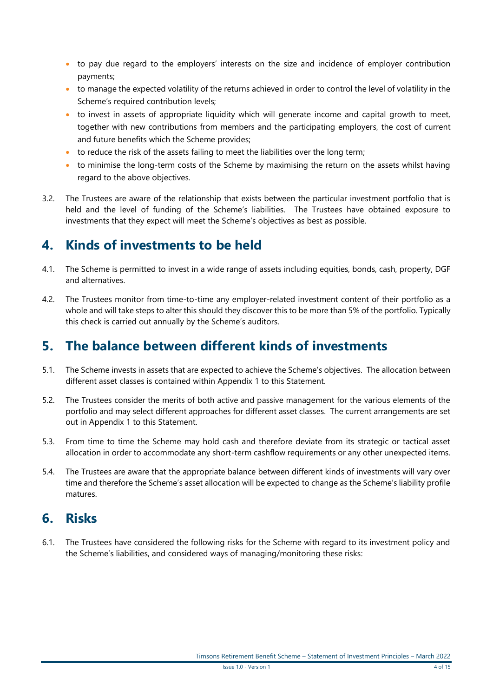- to pay due regard to the employers' interests on the size and incidence of employer contribution payments;
- to manage the expected volatility of the returns achieved in order to control the level of volatility in the Scheme's required contribution levels:
- to invest in assets of appropriate liquidity which will generate income and capital growth to meet, together with new contributions from members and the participating employers, the cost of current and future benefits which the Scheme provides;
- $\bullet$  to reduce the risk of the assets failing to meet the liabilities over the long term;
- to minimise the long-term costs of the Scheme by maximising the return on the assets whilst having regard to the above objectives.
- 3.2. The Trustees are aware of the relationship that exists between the particular investment portfolio that is held and the level of funding of the Scheme's liabilities. The Trustees have obtained exposure to investments that they expect will meet the Scheme's objectives as best as possible.

#### <span id="page-3-0"></span>**4. Kinds of investments to be held**

- 4.1. The Scheme is permitted to invest in a wide range of assets including equities, bonds, cash, property, DGF and alternatives.
- 4.2. The Trustees monitor from time-to-time any employer-related investment content of their portfolio as a whole and will take steps to alter this should they discover this to be more than 5% of the portfolio. Typically this check is carried out annually by the Scheme's auditors.

#### <span id="page-3-1"></span>**5. The balance between different kinds of investments**

- 5.1. The Scheme invests in assets that are expected to achieve the Scheme's objectives. The allocation between different asset classes is contained within Appendix 1 to this Statement.
- 5.2. The Trustees consider the merits of both active and passive management for the various elements of the portfolio and may select different approaches for different asset classes. The current arrangements are set out in Appendix 1 to this Statement.
- 5.3. From time to time the Scheme may hold cash and therefore deviate from its strategic or tactical asset allocation in order to accommodate any short-term cashflow requirements or any other unexpected items.
- 5.4. The Trustees are aware that the appropriate balance between different kinds of investments will vary over time and therefore the Scheme's asset allocation will be expected to change as the Scheme's liability profile matures.

#### <span id="page-3-2"></span>**6. Risks**

6.1. The Trustees have considered the following risks for the Scheme with regard to its investment policy and the Scheme's liabilities, and considered ways of managing/monitoring these risks: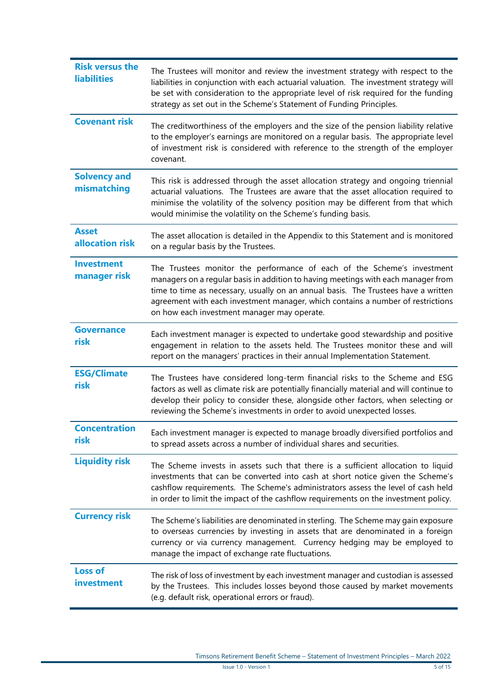| <b>Risk versus the</b><br><b>liabilities</b> | The Trustees will monitor and review the investment strategy with respect to the<br>liabilities in conjunction with each actuarial valuation. The investment strategy will<br>be set with consideration to the appropriate level of risk required for the funding<br>strategy as set out in the Scheme's Statement of Funding Principles.                                            |
|----------------------------------------------|--------------------------------------------------------------------------------------------------------------------------------------------------------------------------------------------------------------------------------------------------------------------------------------------------------------------------------------------------------------------------------------|
| <b>Covenant risk</b>                         | The creditworthiness of the employers and the size of the pension liability relative<br>to the employer's earnings are monitored on a regular basis. The appropriate level<br>of investment risk is considered with reference to the strength of the employer<br>covenant.                                                                                                           |
| <b>Solvency and</b><br>mismatching           | This risk is addressed through the asset allocation strategy and ongoing triennial<br>actuarial valuations. The Trustees are aware that the asset allocation required to<br>minimise the volatility of the solvency position may be different from that which<br>would minimise the volatility on the Scheme's funding basis.                                                        |
| <b>Asset</b><br>allocation risk              | The asset allocation is detailed in the Appendix to this Statement and is monitored<br>on a regular basis by the Trustees.                                                                                                                                                                                                                                                           |
| <b>Investment</b><br>manager risk            | The Trustees monitor the performance of each of the Scheme's investment<br>managers on a regular basis in addition to having meetings with each manager from<br>time to time as necessary, usually on an annual basis. The Trustees have a written<br>agreement with each investment manager, which contains a number of restrictions<br>on how each investment manager may operate. |
| <b>Governance</b><br>risk                    | Each investment manager is expected to undertake good stewardship and positive<br>engagement in relation to the assets held. The Trustees monitor these and will<br>report on the managers' practices in their annual Implementation Statement.                                                                                                                                      |
| <b>ESG/Climate</b><br>risk                   | The Trustees have considered long-term financial risks to the Scheme and ESG<br>factors as well as climate risk are potentially financially material and will continue to<br>develop their policy to consider these, alongside other factors, when selecting or<br>reviewing the Scheme's investments in order to avoid unexpected losses.                                           |
| <b>Concentration</b><br>risk                 | Each investment manager is expected to manage broadly diversified portfolios and<br>to spread assets across a number of individual shares and securities.                                                                                                                                                                                                                            |
| <b>Liquidity risk</b>                        | The Scheme invests in assets such that there is a sufficient allocation to liquid<br>investments that can be converted into cash at short notice given the Scheme's<br>cashflow requirements. The Scheme's administrators assess the level of cash held<br>in order to limit the impact of the cashflow requirements on the investment policy.                                       |
| <b>Currency risk</b>                         | The Scheme's liabilities are denominated in sterling. The Scheme may gain exposure<br>to overseas currencies by investing in assets that are denominated in a foreign<br>currency or via currency management. Currency hedging may be employed to<br>manage the impact of exchange rate fluctuations.                                                                                |
| <b>Loss of</b><br>investment                 | The risk of loss of investment by each investment manager and custodian is assessed<br>by the Trustees. This includes losses beyond those caused by market movements<br>(e.g. default risk, operational errors or fraud).                                                                                                                                                            |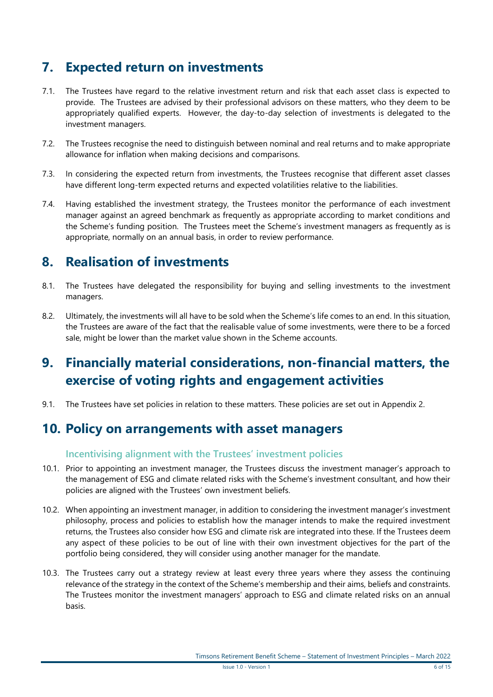### <span id="page-5-0"></span>**7. Expected return on investments**

- 7.1. The Trustees have regard to the relative investment return and risk that each asset class is expected to provide. The Trustees are advised by their professional advisors on these matters, who they deem to be appropriately qualified experts. However, the day-to-day selection of investments is delegated to the investment managers.
- 7.2. The Trustees recognise the need to distinguish between nominal and real returns and to make appropriate allowance for inflation when making decisions and comparisons.
- 7.3. In considering the expected return from investments, the Trustees recognise that different asset classes have different long-term expected returns and expected volatilities relative to the liabilities.
- 7.4. Having established the investment strategy, the Trustees monitor the performance of each investment manager against an agreed benchmark as frequently as appropriate according to market conditions and the Scheme's funding position. The Trustees meet the Scheme's investment managers as frequently as is appropriate, normally on an annual basis, in order to review performance.

#### <span id="page-5-1"></span>**8. Realisation of investments**

- 8.1. The Trustees have delegated the responsibility for buying and selling investments to the investment managers.
- 8.2. Ultimately, the investments will all have to be sold when the Scheme's life comes to an end. In this situation, the Trustees are aware of the fact that the realisable value of some investments, were there to be a forced sale, might be lower than the market value shown in the Scheme accounts.

### <span id="page-5-2"></span>**9. Financially material considerations, non-financial matters, the exercise of voting rights and engagement activities**

9.1. The Trustees have set policies in relation to these matters. These policies are set out in Appendix 2.

#### <span id="page-5-3"></span>**10. Policy on arrangements with asset managers**

#### **Incentivising alignment with the Trustees' investment policies**

- 10.1. Prior to appointing an investment manager, the Trustees discuss the investment manager's approach to the management of ESG and climate related risks with the Scheme's investment consultant, and how their policies are aligned with the Trustees' own investment beliefs.
- 10.2. When appointing an investment manager, in addition to considering the investment manager's investment philosophy, process and policies to establish how the manager intends to make the required investment returns, the Trustees also consider how ESG and climate risk are integrated into these. If the Trustees deem any aspect of these policies to be out of line with their own investment objectives for the part of the portfolio being considered, they will consider using another manager for the mandate.
- 10.3. The Trustees carry out a strategy review at least every three years where they assess the continuing relevance of the strategy in the context of the Scheme's membership and their aims, beliefs and constraints. The Trustees monitor the investment managers' approach to ESG and climate related risks on an annual basis.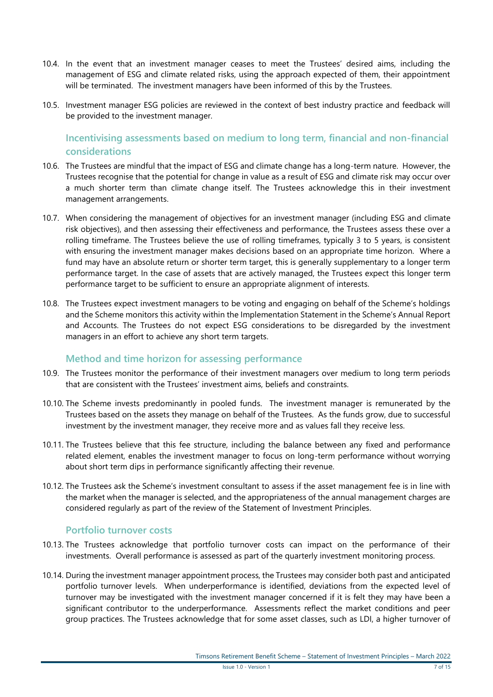- 10.4. In the event that an investment manager ceases to meet the Trustees' desired aims, including the management of ESG and climate related risks, using the approach expected of them, their appointment will be terminated. The investment managers have been informed of this by the Trustees.
- 10.5. Investment manager ESG policies are reviewed in the context of best industry practice and feedback will be provided to the investment manager.

**Incentivising assessments based on medium to long term, financial and non-financial considerations**

- 10.6. The Trustees are mindful that the impact of ESG and climate change has a long-term nature. However, the Trustees recognise that the potential for change in value as a result of ESG and climate risk may occur over a much shorter term than climate change itself. The Trustees acknowledge this in their investment management arrangements.
- 10.7. When considering the management of objectives for an investment manager (including ESG and climate risk objectives), and then assessing their effectiveness and performance, the Trustees assess these over a rolling timeframe. The Trustees believe the use of rolling timeframes, typically 3 to 5 years, is consistent with ensuring the investment manager makes decisions based on an appropriate time horizon. Where a fund may have an absolute return or shorter term target, this is generally supplementary to a longer term performance target. In the case of assets that are actively managed, the Trustees expect this longer term performance target to be sufficient to ensure an appropriate alignment of interests.
- 10.8. The Trustees expect investment managers to be voting and engaging on behalf of the Scheme's holdings and the Scheme monitors this activity within the Implementation Statement in the Scheme's Annual Report and Accounts. The Trustees do not expect ESG considerations to be disregarded by the investment managers in an effort to achieve any short term targets.

#### **Method and time horizon for assessing performance**

- 10.9. The Trustees monitor the performance of their investment managers over medium to long term periods that are consistent with the Trustees' investment aims, beliefs and constraints.
- 10.10. The Scheme invests predominantly in pooled funds. The investment manager is remunerated by the Trustees based on the assets they manage on behalf of the Trustees. As the funds grow, due to successful investment by the investment manager, they receive more and as values fall they receive less.
- 10.11. The Trustees believe that this fee structure, including the balance between any fixed and performance related element, enables the investment manager to focus on long-term performance without worrying about short term dips in performance significantly affecting their revenue.
- 10.12. The Trustees ask the Scheme's investment consultant to assess if the asset management fee is in line with the market when the manager is selected, and the appropriateness of the annual management charges are considered regularly as part of the review of the Statement of Investment Principles.

#### **Portfolio turnover costs**

- 10.13. The Trustees acknowledge that portfolio turnover costs can impact on the performance of their investments. Overall performance is assessed as part of the quarterly investment monitoring process.
- 10.14. During the investment manager appointment process, the Trustees may consider both past and anticipated portfolio turnover levels. When underperformance is identified, deviations from the expected level of turnover may be investigated with the investment manager concerned if it is felt they may have been a significant contributor to the underperformance. Assessments reflect the market conditions and peer group practices. The Trustees acknowledge that for some asset classes, such as LDI, a higher turnover of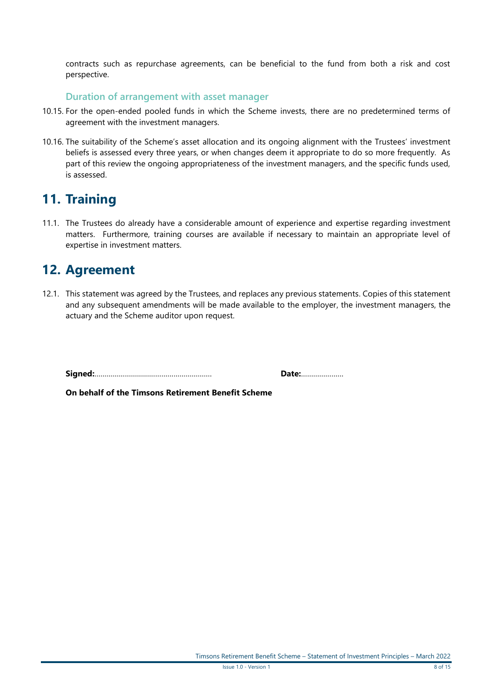contracts such as repurchase agreements, can be beneficial to the fund from both a risk and cost perspective.

#### **Duration of arrangement with asset manager**

- 10.15. For the open-ended pooled funds in which the Scheme invests, there are no predetermined terms of agreement with the investment managers.
- 10.16. The suitability of the Scheme's asset allocation and its ongoing alignment with the Trustees' investment beliefs is assessed every three years, or when changes deem it appropriate to do so more frequently. As part of this review the ongoing appropriateness of the investment managers, and the specific funds used, is assessed.

#### <span id="page-7-0"></span>**11. Training**

11.1. The Trustees do already have a considerable amount of experience and expertise regarding investment matters. Furthermore, training courses are available if necessary to maintain an appropriate level of expertise in investment matters.

#### <span id="page-7-1"></span>**12. Agreement**

12.1. This statement was agreed by the Trustees, and replaces any previous statements. Copies of this statement and any subsequent amendments will be made available to the employer, the investment managers, the actuary and the Scheme auditor upon request.

**Signed:**…………………………………………………. **Date:**…………………

**On behalf of the Timsons Retirement Benefit Scheme**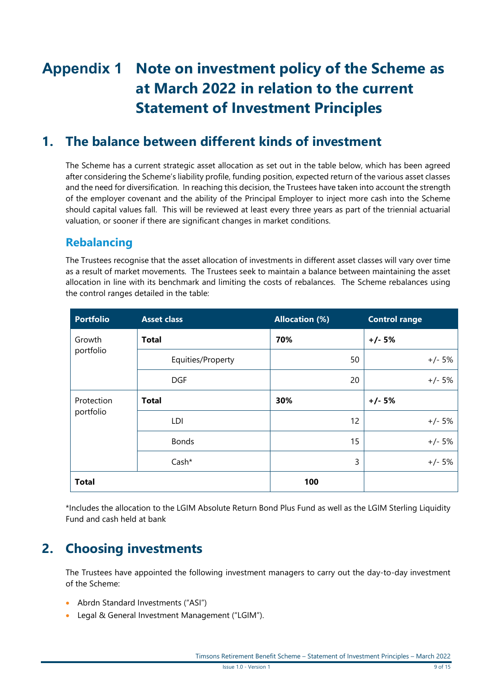# <span id="page-8-0"></span>**Appendix 1 Note on investment policy of the Scheme as at March 2022 in relation to the current Statement of Investment Principles**

#### **1. The balance between different kinds of investment**

The Scheme has a current strategic asset allocation as set out in the table below, which has been agreed after considering the Scheme's liability profile, funding position, expected return of the various asset classes and the need for diversification. In reaching this decision, the Trustees have taken into account the strength of the employer covenant and the ability of the Principal Employer to inject more cash into the Scheme should capital values fall. This will be reviewed at least every three years as part of the triennial actuarial valuation, or sooner if there are significant changes in market conditions.

#### **Rebalancing**

The Trustees recognise that the asset allocation of investments in different asset classes will vary over time as a result of market movements. The Trustees seek to maintain a balance between maintaining the asset allocation in line with its benchmark and limiting the costs of rebalances. The Scheme rebalances using the control ranges detailed in the table:

| <b>Portfolio</b> | <b>Asset class</b> | <b>Allocation (%)</b> | <b>Control range</b> |
|------------------|--------------------|-----------------------|----------------------|
| Growth           | <b>Total</b>       | 70%                   | $+/- 5%$             |
| portfolio        | Equities/Property  | 50                    | $+/- 5%$             |
|                  | <b>DGF</b>         | 20                    | $+/- 5%$             |
| Protection       | <b>Total</b>       | 30%                   | $+/- 5%$             |
| portfolio        | LDI                | 12                    | $+/- 5%$             |
|                  | <b>Bonds</b>       | 15                    | $+/- 5%$             |
|                  | Cash*              | 3                     | $+/- 5%$             |
| <b>Total</b>     |                    | 100                   |                      |

\*Includes the allocation to the LGIM Absolute Return Bond Plus Fund as well as the LGIM Sterling Liquidity Fund and cash held at bank

### **2. Choosing investments**

The Trustees have appointed the following investment managers to carry out the day-to-day investment of the Scheme:

- Abrdn Standard Investments ("ASI")
- Legal & General Investment Management ("LGIM").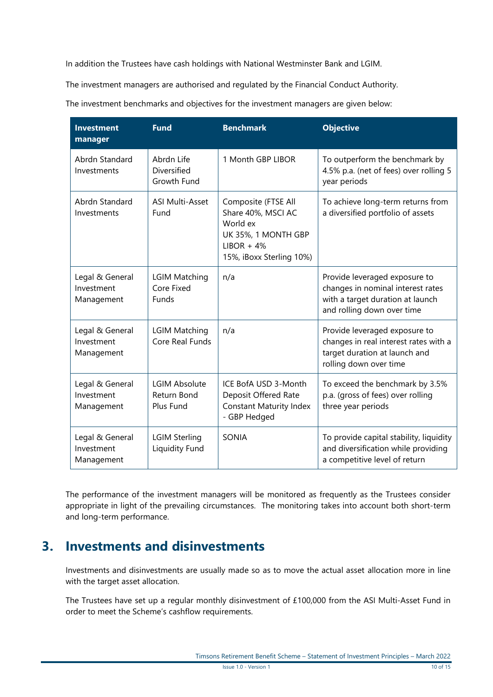In addition the Trustees have cash holdings with National Westminster Bank and LGIM.

The investment managers are authorised and regulated by the Financial Conduct Authority.

The investment benchmarks and objectives for the investment managers are given below:

| <b>Investment</b><br>manager                | <b>Fund</b>                                      | <b>Benchmark</b>                                                                                                         | <b>Objective</b>                                                                                                                     |
|---------------------------------------------|--------------------------------------------------|--------------------------------------------------------------------------------------------------------------------------|--------------------------------------------------------------------------------------------------------------------------------------|
| Abrdn Standard<br>Investments               | Abrdn Life<br>Diversified<br>Growth Fund         | 1 Month GBP LIBOR                                                                                                        | To outperform the benchmark by<br>4.5% p.a. (net of fees) over rolling 5<br>year periods                                             |
| Abrdn Standard<br>Investments               | <b>ASI Multi-Asset</b><br>Fund                   | Composite (FTSE All<br>Share 40%, MSCI AC<br>World ex<br>UK 35%, 1 MONTH GBP<br>$LIBOR + 4%$<br>15%, iBoxx Sterling 10%) | To achieve long-term returns from<br>a diversified portfolio of assets                                                               |
| Legal & General<br>Investment<br>Management | <b>LGIM Matching</b><br>Core Fixed<br>Funds      | n/a                                                                                                                      | Provide leveraged exposure to<br>changes in nominal interest rates<br>with a target duration at launch<br>and rolling down over time |
| Legal & General<br>Investment<br>Management | <b>LGIM Matching</b><br>Core Real Funds          | n/a                                                                                                                      | Provide leveraged exposure to<br>changes in real interest rates with a<br>target duration at launch and<br>rolling down over time    |
| Legal & General<br>Investment<br>Management | <b>LGIM Absolute</b><br>Return Bond<br>Plus Fund | ICE BofA USD 3-Month<br>Deposit Offered Rate<br><b>Constant Maturity Index</b><br>- GBP Hedged                           | To exceed the benchmark by 3.5%<br>p.a. (gross of fees) over rolling<br>three year periods                                           |
| Legal & General<br>Investment<br>Management | <b>LGIM Sterling</b><br>Liquidity Fund           | <b>SONIA</b>                                                                                                             | To provide capital stability, liquidity<br>and diversification while providing<br>a competitive level of return                      |

The performance of the investment managers will be monitored as frequently as the Trustees consider appropriate in light of the prevailing circumstances. The monitoring takes into account both short-term and long-term performance.

#### **3. Investments and disinvestments**

Investments and disinvestments are usually made so as to move the actual asset allocation more in line with the target asset allocation.

The Trustees have set up a regular monthly disinvestment of £100,000 from the ASI Multi-Asset Fund in order to meet the Scheme's cashflow requirements.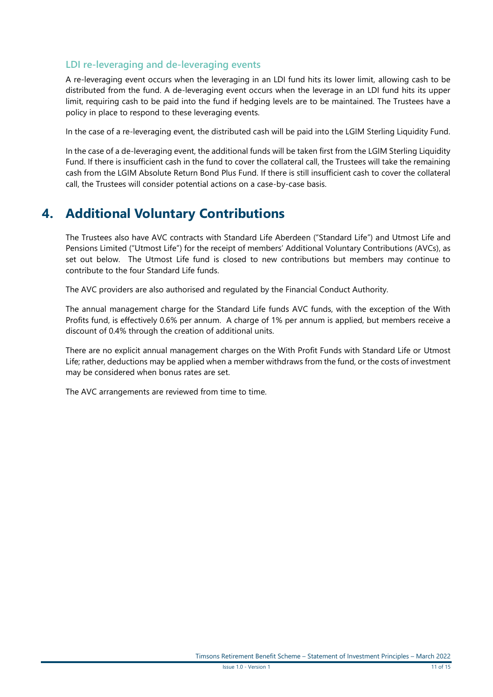#### **LDI re-leveraging and de-leveraging events**

A re-leveraging event occurs when the leveraging in an LDI fund hits its lower limit, allowing cash to be distributed from the fund. A de-leveraging event occurs when the leverage in an LDI fund hits its upper limit, requiring cash to be paid into the fund if hedging levels are to be maintained. The Trustees have a policy in place to respond to these leveraging events.

In the case of a re-leveraging event, the distributed cash will be paid into the LGIM Sterling Liquidity Fund.

In the case of a de-leveraging event, the additional funds will be taken first from the LGIM Sterling Liquidity Fund. If there is insufficient cash in the fund to cover the collateral call, the Trustees will take the remaining cash from the LGIM Absolute Return Bond Plus Fund. If there is still insufficient cash to cover the collateral call, the Trustees will consider potential actions on a case-by-case basis.

### **4. Additional Voluntary Contributions**

The Trustees also have AVC contracts with Standard Life Aberdeen ("Standard Life") and Utmost Life and Pensions Limited ("Utmost Life") for the receipt of members' Additional Voluntary Contributions (AVCs), as set out below. The Utmost Life fund is closed to new contributions but members may continue to contribute to the four Standard Life funds.

The AVC providers are also authorised and regulated by the Financial Conduct Authority.

The annual management charge for the Standard Life funds AVC funds, with the exception of the With Profits fund, is effectively 0.6% per annum. A charge of 1% per annum is applied, but members receive a discount of 0.4% through the creation of additional units.

There are no explicit annual management charges on the With Profit Funds with Standard Life or Utmost Life; rather, deductions may be applied when a member withdraws from the fund, or the costs of investment may be considered when bonus rates are set.

The AVC arrangements are reviewed from time to time.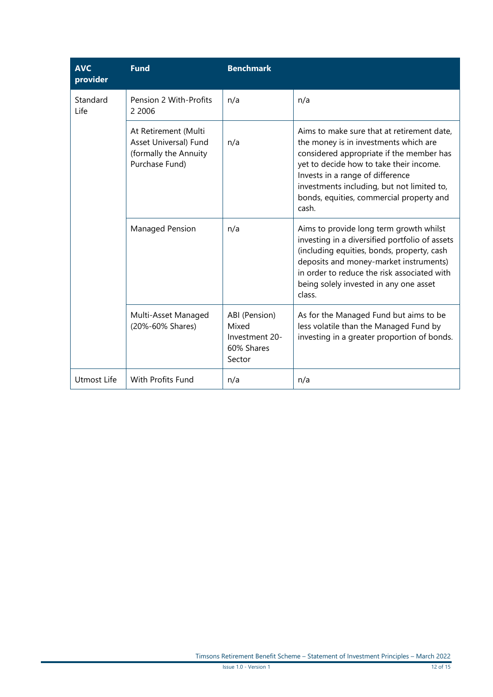| <b>AVC</b><br>provider | <b>Fund</b>                                                                              | <b>Benchmark</b>                                                 |                                                                                                                                                                                                                                                                                                                   |
|------------------------|------------------------------------------------------------------------------------------|------------------------------------------------------------------|-------------------------------------------------------------------------------------------------------------------------------------------------------------------------------------------------------------------------------------------------------------------------------------------------------------------|
| Standard<br>Life       | Pension 2 With-Profits<br>2 2006                                                         | n/a                                                              | n/a                                                                                                                                                                                                                                                                                                               |
|                        | At Retirement (Multi<br>Asset Universal) Fund<br>(formally the Annuity<br>Purchase Fund) | n/a                                                              | Aims to make sure that at retirement date,<br>the money is in investments which are<br>considered appropriate if the member has<br>yet to decide how to take their income.<br>Invests in a range of difference<br>investments including, but not limited to,<br>bonds, equities, commercial property and<br>cash. |
|                        | Managed Pension                                                                          | n/a                                                              | Aims to provide long term growth whilst<br>investing in a diversified portfolio of assets<br>(including equities, bonds, property, cash<br>deposits and money-market instruments)<br>in order to reduce the risk associated with<br>being solely invested in any one asset<br>class.                              |
|                        | Multi-Asset Managed<br>(20%-60% Shares)                                                  | ABI (Pension)<br>Mixed<br>Investment 20-<br>60% Shares<br>Sector | As for the Managed Fund but aims to be<br>less volatile than the Managed Fund by<br>investing in a greater proportion of bonds.                                                                                                                                                                                   |
| Utmost Life            | <b>With Profits Fund</b>                                                                 | n/a                                                              | n/a                                                                                                                                                                                                                                                                                                               |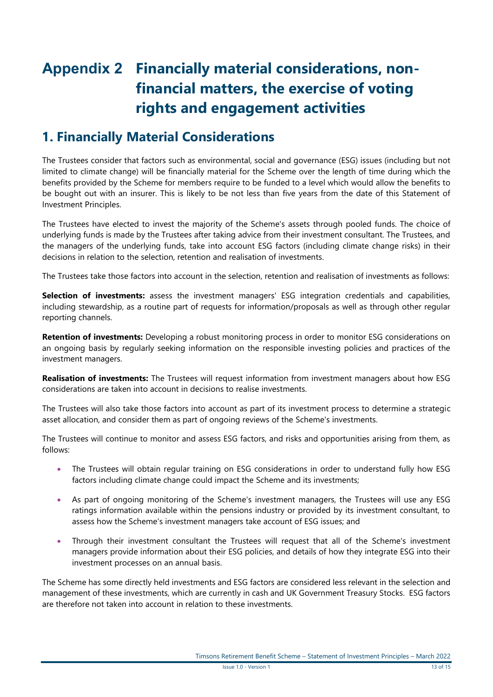# <span id="page-12-0"></span>**Appendix 2 Financially material considerations, nonfinancial matters, the exercise of voting rights and engagement activities**

### **1. Financially Material Considerations**

The Trustees consider that factors such as environmental, social and governance (ESG) issues (including but not limited to climate change) will be financially material for the Scheme over the length of time during which the benefits provided by the Scheme for members require to be funded to a level which would allow the benefits to be bought out with an insurer. This is likely to be not less than five years from the date of this Statement of Investment Principles.

The Trustees have elected to invest the majority of the Scheme's assets through pooled funds. The choice of underlying funds is made by the Trustees after taking advice from their investment consultant. The Trustees, and the managers of the underlying funds, take into account ESG factors (including climate change risks) in their decisions in relation to the selection, retention and realisation of investments.

The Trustees take those factors into account in the selection, retention and realisation of investments as follows:

**Selection of investments:** assess the investment managers' ESG integration credentials and capabilities, including stewardship, as a routine part of requests for information/proposals as well as through other regular reporting channels.

**Retention of investments:** Developing a robust monitoring process in order to monitor ESG considerations on an ongoing basis by regularly seeking information on the responsible investing policies and practices of the investment managers.

**Realisation of investments:** The Trustees will request information from investment managers about how ESG considerations are taken into account in decisions to realise investments.

The Trustees will also take those factors into account as part of its investment process to determine a strategic asset allocation, and consider them as part of ongoing reviews of the Scheme's investments.

The Trustees will continue to monitor and assess ESG factors, and risks and opportunities arising from them, as follows:

- The Trustees will obtain regular training on ESG considerations in order to understand fully how ESG factors including climate change could impact the Scheme and its investments;
- As part of ongoing monitoring of the Scheme's investment managers, the Trustees will use any ESG ratings information available within the pensions industry or provided by its investment consultant, to assess how the Scheme's investment managers take account of ESG issues; and
- Through their investment consultant the Trustees will request that all of the Scheme's investment managers provide information about their ESG policies, and details of how they integrate ESG into their investment processes on an annual basis.

The Scheme has some directly held investments and ESG factors are considered less relevant in the selection and management of these investments, which are currently in cash and UK Government Treasury Stocks. ESG factors are therefore not taken into account in relation to these investments.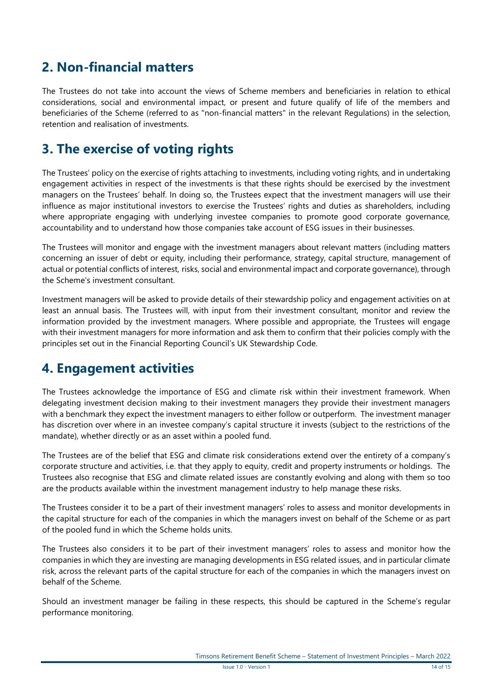#### **2. Non-financial matters**

The Trustees do not take into account the views of Scheme members and beneficiaries in relation to ethical considerations, social and environmental impact, or present and future qualify of life of the members and beneficiaries of the Scheme (referred to as "non-financial matters" in the relevant Regulations) in the selection, retention and realisation of investments.

#### **3. The exercise of voting rights**

The Trustees' policy on the exercise of rights attaching to investments, including voting rights, and in undertaking engagement activities in respect of the investments is that these rights should be exercised by the investment managers on the Trustees' behalf. In doing so, the Trustees expect that the investment managers will use their influence as major institutional investors to exercise the Trustees' rights and duties as shareholders, including where appropriate engaging with underlying investee companies to promote good corporate governance, accountability and to understand how those companies take account of ESG issues in their businesses.

The Trustees will monitor and engage with the investment managers about relevant matters (including matters concerning an issuer of debt or equity, including their performance, strategy, capital structure, management of actual or potential conflicts of interest, risks, social and environmental impact and corporate governance), through the Scheme's investment consultant.

Investment managers will be asked to provide details of their stewardship policy and engagement activities on at least an annual basis. The Trustees will, with input from their investment consultant, monitor and review the information provided by the investment managers. Where possible and appropriate, the Trustees will engage with their investment managers for more information and ask them to confirm that their policies comply with the principles set out in the Financial Reporting Council's UK Stewardship Code.

#### **4. Engagement activities**

The Trustees acknowledge the importance of ESG and climate risk within their investment framework. When delegating investment decision making to their investment managers they provide their investment managers with a benchmark they expect the investment managers to either follow or outperform. The investment manager has discretion over where in an investee company's capital structure it invests (subject to the restrictions of the mandate), whether directly or as an asset within a pooled fund.

The Trustees are of the belief that ESG and climate risk considerations extend over the entirety of a company's corporate structure and activities, i.e. that they apply to equity, credit and property instruments or holdings. The Trustees also recognise that ESG and climate related issues are constantly evolving and along with them so too are the products available within the investment management industry to help manage these risks.

The Trustees consider it to be a part of their investment managers' roles to assess and monitor developments in the capital structure for each of the companies in which the managers invest on behalf of the Scheme or as part of the pooled fund in which the Scheme holds units.

The Trustees also considers it to be part of their investment managers' roles to assess and monitor how the companies in which they are investing are managing developments in ESG related issues, and in particular climate risk, across the relevant parts of the capital structure for each of the companies in which the managers invest on behalf of the Scheme.

Should an investment manager be failing in these respects, this should be captured in the Scheme's regular performance monitoring.